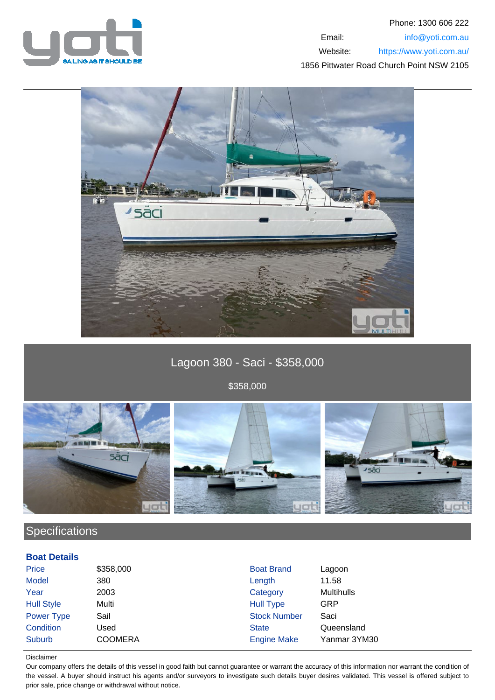

### Phone: 1300 606 222 Email: info@yoti.com.au Website: https://www.yoti.com.au/ 1856 Pittwater Road Church Point NSW 2105



# Lagoon 380 - Saci - \$358,000

\$358,000



## **Specifications**

#### **Boat Details**

| Price             | \$358,000      | <b>Boat Brand</b>   | Lagoon            |
|-------------------|----------------|---------------------|-------------------|
| <b>Model</b>      | 380            | Length              | 11.58             |
| Year              | 2003           | Category            | <b>Multihulls</b> |
| <b>Hull Style</b> | Multi          | <b>Hull Type</b>    | GRP               |
| <b>Power Type</b> | Sail           | <b>Stock Number</b> | Saci              |
| Condition         | Used           | <b>State</b>        | Queensland        |
| Suburb            | <b>COOMERA</b> | <b>Engine Make</b>  | Yanmar 3YM30      |

#### Disclaimer

Our company offers the details of this vessel in good faith but cannot guarantee or warrant the accuracy of this information nor warrant the condition of the vessel. A buyer should instruct his agents and/or surveyors to investigate such details buyer desires validated. This vessel is offered subject to prior sale, price change or withdrawal without notice.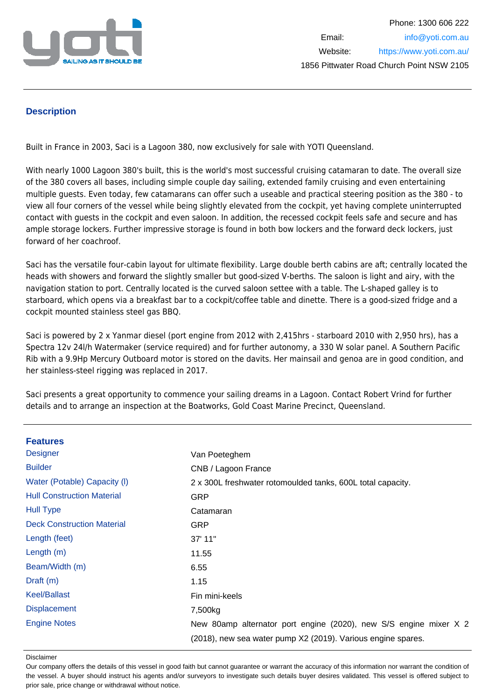

### **Description**

Built in France in 2003, Saci is a Lagoon 380, now exclusively for sale with YOTI Queensland.

With nearly 1000 Lagoon 380's built, this is the world's most successful cruising catamaran to date. The overall size of the 380 covers all bases, including simple couple day sailing, extended family cruising and even entertaining multiple guests. Even today, few catamarans can offer such a useable and practical steering position as the 380 - to view all four corners of the vessel while being slightly elevated from the cockpit, yet having complete uninterrupted contact with guests in the cockpit and even saloon. In addition, the recessed cockpit feels safe and secure and has ample storage lockers. Further impressive storage is found in both bow lockers and the forward deck lockers, just forward of her coachroof.

Saci has the versatile four-cabin layout for ultimate flexibility. Large double berth cabins are aft; centrally located the heads with showers and forward the slightly smaller but good-sized V-berths. The saloon is light and airy, with the navigation station to port. Centrally located is the curved saloon settee with a table. The L-shaped galley is to starboard, which opens via a breakfast bar to a cockpit/coffee table and dinette. There is a good-sized fridge and a cockpit mounted stainless steel gas BBQ.

Saci is powered by 2 x Yanmar diesel (port engine from 2012 with 2,415hrs - starboard 2010 with 2,950 hrs), has a Spectra 12v 24l/h Watermaker (service required) and for further autonomy, a 330 W solar panel. A Southern Pacific Rib with a 9.9Hp Mercury Outboard motor is stored on the davits. Her mainsail and genoa are in good condition, and her stainless-steel rigging was replaced in 2017.

Saci presents a great opportunity to commence your sailing dreams in a Lagoon. Contact Robert Vrind for further details and to arrange an inspection at the Boatworks, Gold Coast Marine Precinct, Queensland.

| <b>Features</b>                   |                                                                   |
|-----------------------------------|-------------------------------------------------------------------|
| <b>Designer</b>                   | Van Poeteghem                                                     |
| <b>Builder</b>                    | CNB / Lagoon France                                               |
| Water (Potable) Capacity (I)      | 2 x 300L freshwater rotomoulded tanks, 600L total capacity.       |
| <b>Hull Construction Material</b> | <b>GRP</b>                                                        |
| <b>Hull Type</b>                  | Catamaran                                                         |
| <b>Deck Construction Material</b> | <b>GRP</b>                                                        |
| Length (feet)                     | 37' 11"                                                           |
| Length $(m)$                      | 11.55                                                             |
| Beam/Width (m)                    | 6.55                                                              |
| Draft $(m)$                       | 1.15                                                              |
| <b>Keel/Ballast</b>               | Fin mini-keels                                                    |
| <b>Displacement</b>               | 7,500kg                                                           |
| <b>Engine Notes</b>               | New 80amp alternator port engine (2020), new S/S engine mixer X 2 |
|                                   | (2018), new sea water pump X2 (2019). Various engine spares.      |

Disclaimer

Our company offers the details of this vessel in good faith but cannot guarantee or warrant the accuracy of this information nor warrant the condition of the vessel. A buyer should instruct his agents and/or surveyors to investigate such details buyer desires validated. This vessel is offered subject to prior sale, price change or withdrawal without notice.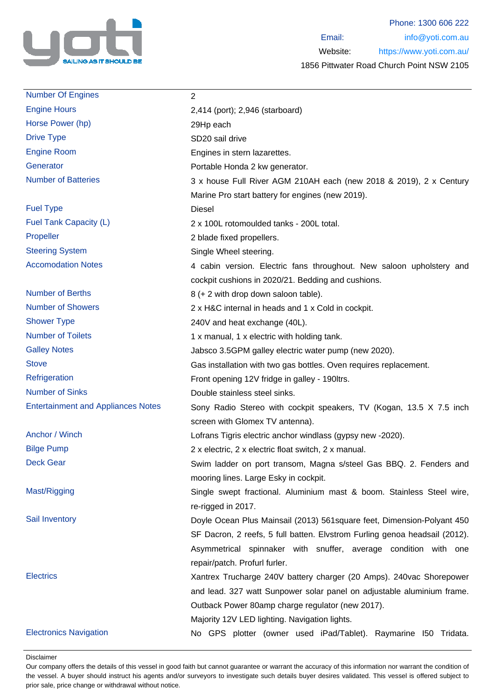

| <b>Number Of Engines</b>                  | $\overline{2}$                                                             |
|-------------------------------------------|----------------------------------------------------------------------------|
| <b>Engine Hours</b>                       | 2,414 (port); 2,946 (starboard)                                            |
| Horse Power (hp)                          | 29Hp each                                                                  |
| <b>Drive Type</b>                         | SD20 sail drive                                                            |
| <b>Engine Room</b>                        | Engines in stern lazarettes.                                               |
| Generator                                 | Portable Honda 2 kw generator.                                             |
| <b>Number of Batteries</b>                | 3 x house Full River AGM 210AH each (new 2018 & 2019), 2 x Century         |
|                                           | Marine Pro start battery for engines (new 2019).                           |
| <b>Fuel Type</b>                          | <b>Diesel</b>                                                              |
| Fuel Tank Capacity (L)                    | 2 x 100L rotomoulded tanks - 200L total.                                   |
| Propeller                                 | 2 blade fixed propellers.                                                  |
| <b>Steering System</b>                    | Single Wheel steering.                                                     |
| <b>Accomodation Notes</b>                 | 4 cabin version. Electric fans throughout. New saloon upholstery and       |
|                                           | cockpit cushions in 2020/21. Bedding and cushions.                         |
| <b>Number of Berths</b>                   | 8 (+ 2 with drop down saloon table).                                       |
| <b>Number of Showers</b>                  | 2 x H&C internal in heads and 1 x Cold in cockpit.                         |
| <b>Shower Type</b>                        | 240V and heat exchange (40L).                                              |
| <b>Number of Toilets</b>                  | 1 x manual, 1 x electric with holding tank.                                |
| <b>Galley Notes</b>                       | Jabsco 3.5GPM galley electric water pump (new 2020).                       |
| <b>Stove</b>                              | Gas installation with two gas bottles. Oven requires replacement.          |
| Refrigeration                             | Front opening 12V fridge in galley - 190ltrs.                              |
| <b>Number of Sinks</b>                    | Double stainless steel sinks.                                              |
| <b>Entertainment and Appliances Notes</b> | Sony Radio Stereo with cockpit speakers, TV (Kogan, 13.5 X 7.5 inch        |
|                                           | screen with Glomex TV antenna).                                            |
| Anchor / Winch                            | Lofrans Tigris electric anchor windlass (gypsy new -2020).                 |
| <b>Bilge Pump</b>                         | 2 x electric, 2 x electric float switch, 2 x manual.                       |
| <b>Deck Gear</b>                          | Swim ladder on port transom, Magna s/steel Gas BBQ. 2. Fenders and         |
|                                           | mooring lines. Large Esky in cockpit.                                      |
| Mast/Rigging                              | Single swept fractional. Aluminium mast & boom. Stainless Steel wire,      |
|                                           | re-rigged in 2017.                                                         |
| Sail Inventory                            | Doyle Ocean Plus Mainsail (2013) 561 square feet, Dimension-Polyant 450    |
|                                           | SF Dacron, 2 reefs, 5 full batten. Elvstrom Furling genoa headsail (2012). |
|                                           | Asymmetrical spinnaker with snuffer, average condition with one            |
|                                           | repair/patch. Profurl furler.                                              |
| <b>Electrics</b>                          | Xantrex Trucharge 240V battery charger (20 Amps). 240vac Shorepower        |
|                                           | and lead. 327 watt Sunpower solar panel on adjustable aluminium frame.     |
|                                           | Outback Power 80amp charge regulator (new 2017).                           |
|                                           | Majority 12V LED lighting. Navigation lights.                              |
| <b>Electronics Navigation</b>             | No GPS plotter (owner used iPad/Tablet). Raymarine I50 Tridata.            |

Disclaimer

Our company offers the details of this vessel in good faith but cannot guarantee or warrant the accuracy of this information nor warrant the condition of the vessel. A buyer should instruct his agents and/or surveyors to investigate such details buyer desires validated. This vessel is offered subject to prior sale, price change or withdrawal without notice.